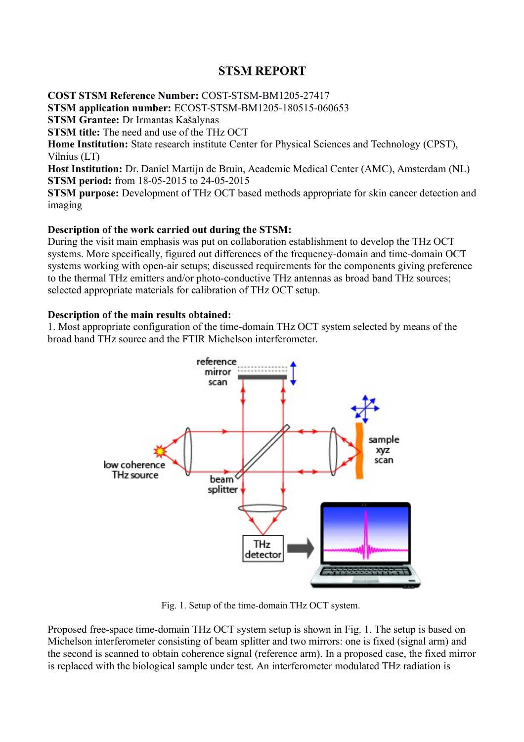# **STSM REPORT**

**COST STSM Reference Number:** COST-STSM-BM1205-27417 **STSM application number:** ECOST-STSM-BM1205-180515-060653 **STSM Grantee:** Dr Irmantas Kašalynas **STSM title:** The need and use of the THz OCT **Home Institution:** State research institute Center for Physical Sciences and Technology (CPST), Vilnius (LT) **Host Institution:** Dr. Daniel Martijn de Bruin, Academic Medical Center (AMC), Amsterdam (NL) **STSM period:** from 18-05-2015 to 24-05-2015 **STSM purpose:** Development of THz OCT based methods appropriate for skin cancer detection and imaging

## **Description of the work carried out during the STSM:**

During the visit main emphasis was put on collaboration establishment to develop the THz OCT systems. More specifically, figured out differences of the frequency-domain and time-domain OCT systems working with open-air setups; discussed requirements for the components giving preference to the thermal THz emitters and/or photo-conductive THz antennas as broad band THz sources; selected appropriate materials for calibration of THz OCT setup.

## **Description of the main results obtained:**

1. Most appropriate configuration of the time-domain THz OCT system selected by means of the broad band THz source and the FTIR Michelson interferometer.



Fig. 1. Setup of the time-domain THz OCT system.

Proposed free-space time-domain THz OCT system setup is shown in Fig. 1. The setup is based on Michelson interferometer consisting of beam splitter and two mirrors: one is fixed (signal arm) and the second is scanned to obtain coherence signal (reference arm). In a proposed case, the fixed mirror is replaced with the biological sample under test. An interferometer modulated THz radiation is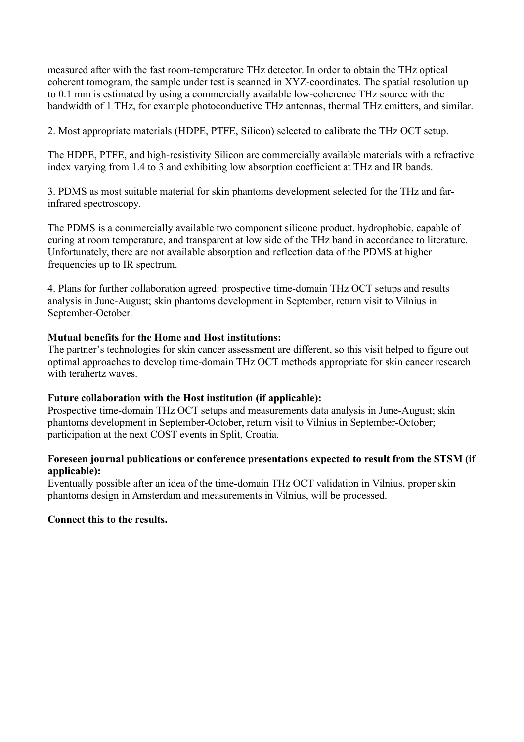measured after with the fast room-temperature THz detector. In order to obtain the THz optical coherent tomogram, the sample under test is scanned in XYZ-coordinates. The spatial resolution up to 0.1 mm is estimated by using a commercially available low-coherence THz source with the bandwidth of 1 THz, for example photoconductive THz antennas, thermal THz emitters, and similar.

2. Most appropriate materials (HDPE, PTFE, Silicon) selected to calibrate the THz OCT setup.

The HDPE, PTFE, and high-resistivity Silicon are commercially available materials with a refractive index varying from 1.4 to 3 and exhibiting low absorption coefficient at THz and IR bands.

3. PDMS as most suitable material for skin phantoms development selected for the THz and farinfrared spectroscopy.

The PDMS is a commercially available two component silicone product, hydrophobic, capable of curing at room temperature, and transparent at low side of the THz band in accordance to literature. Unfortunately, there are not available absorption and reflection data of the PDMS at higher frequencies up to IR spectrum.

4. Plans for further collaboration agreed: prospective time-domain THz OCT setups and results analysis in June-August; skin phantoms development in September, return visit to Vilnius in September-October.

## **Mutual benefits for the Home and Host institutions:**

The partner's technologies for skin cancer assessment are different, so this visit helped to figure out optimal approaches to develop time-domain THz OCT methods appropriate for skin cancer research with terahertz waves.

## **Future collaboration with the Host institution (if applicable):**

Prospective time-domain THz OCT setups and measurements data analysis in June-August; skin phantoms development in September-October, return visit to Vilnius in September-October; participation at the next COST events in Split, Croatia.

## **Foreseen journal publications or conference presentations expected to result from the STSM (if applicable):**

Eventually possible after an idea of the time-domain THz OCT validation in Vilnius, proper skin phantoms design in Amsterdam and measurements in Vilnius, will be processed.

## **Connect this to the results.**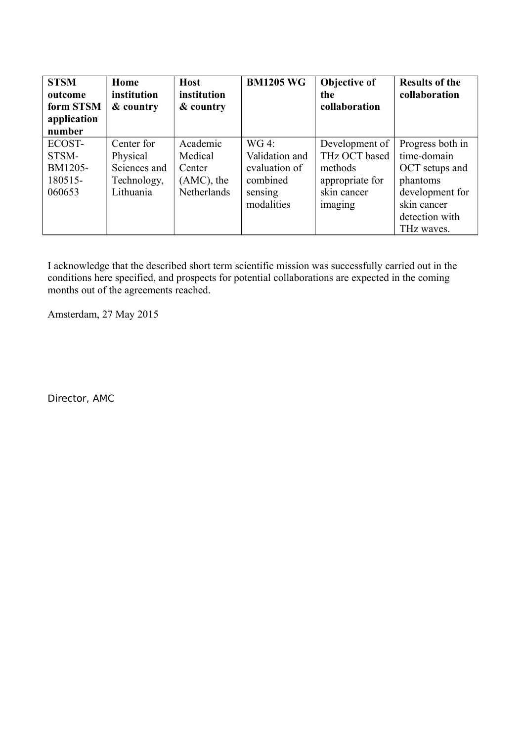| <b>STSM</b><br>outcome<br>form STSM<br>application<br>number | Home<br>institution<br>& country                                   | <b>Host</b><br>institution<br>& country                       | <b>BM1205 WG</b>                                                                | Objective of<br>the<br>collaboration                                                    | <b>Results of the</b><br>collaboration                                                                                          |
|--------------------------------------------------------------|--------------------------------------------------------------------|---------------------------------------------------------------|---------------------------------------------------------------------------------|-----------------------------------------------------------------------------------------|---------------------------------------------------------------------------------------------------------------------------------|
| ECOST-<br>STSM-<br>BM1205-<br>180515-<br>060653              | Center for<br>Physical<br>Sciences and<br>Technology,<br>Lithuania | Academic<br>Medical<br>Center<br>$(AMC)$ , the<br>Netherlands | $WG4$ :<br>Validation and<br>evaluation of<br>combined<br>sensing<br>modalities | Development of<br>THz OCT based<br>methods<br>appropriate for<br>skin cancer<br>imaging | Progress both in<br>time-domain<br>OCT setups and<br>phantoms<br>development for<br>skin cancer<br>detection with<br>THz waves. |

I acknowledge that the described short term scientific mission was successfully carried out in the conditions here specified, and prospects for potential collaborations are expected in the coming months out of the agreements reached.

Amsterdam, 27 May 2015

Director, AMC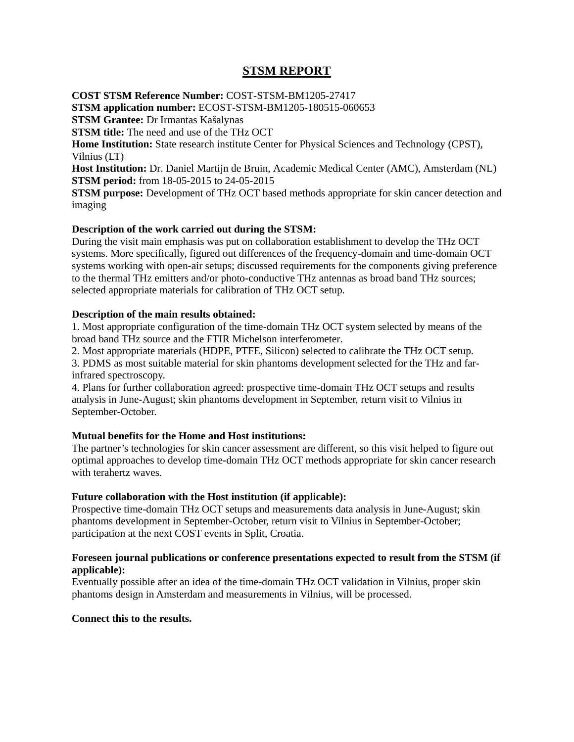## **STSM REPORT**

**COST STSM Reference Number:** COST-STSM-BM1205-27417 **STSM application number:** ECOST-STSM-BM1205-180515-060653 **STSM Grantee:** Dr Irmantas Kašalynas **STSM title:** The need and use of the THz OCT

**Home Institution:** State research institute Center for Physical Sciences and Technology (CPST), Vilnius (LT)

**Host Institution:** Dr. Daniel Martijn de Bruin, Academic Medical Center (AMC), Amsterdam (NL) **STSM period:** from 18-05-2015 to 24-05-2015

**STSM purpose:** Development of THz OCT based methods appropriate for skin cancer detection and imaging

### **Description of the work carried out during the STSM:**

During the visit main emphasis was put on collaboration establishment to develop the THz OCT systems. More specifically, figured out differences of the frequency-domain and time-domain OCT systems working with open-air setups; discussed requirements for the components giving preference to the thermal THz emitters and/or photo-conductive THz antennas as broad band THz sources; selected appropriate materials for calibration of THz OCT setup.

### **Description of the main results obtained:**

1. Most appropriate configuration of the time-domain THz OCT system selected by means of the broad band THz source and the FTIR Michelson interferometer.

2. Most appropriate materials (HDPE, PTFE, Silicon) selected to calibrate the THz OCT setup.

3. PDMS as most suitable material for skin phantoms development selected for the THz and farinfrared spectroscopy.

4. Plans for further collaboration agreed: prospective time-domain THz OCT setups and results analysis in June-August; skin phantoms development in September, return visit to Vilnius in September-October.

### **Mutual benefits for the Home and Host institutions:**

The partner's technologies for skin cancer assessment are different, so this visit helped to figure out optimal approaches to develop time-domain THz OCT methods appropriate for skin cancer research with terahertz waves.

### **Future collaboration with the Host institution (if applicable):**

Prospective time-domain THz OCT setups and measurements data analysis in June-August; skin phantoms development in September-October, return visit to Vilnius in September-October; participation at the next COST events in Split, Croatia.

### **Foreseen journal publications or conference presentations expected to result from the STSM (if applicable):**

Eventually possible after an idea of the time-domain THz OCT validation in Vilnius, proper skin phantoms design in Amsterdam and measurements in Vilnius, will be processed.

### **Connect this to the results.**